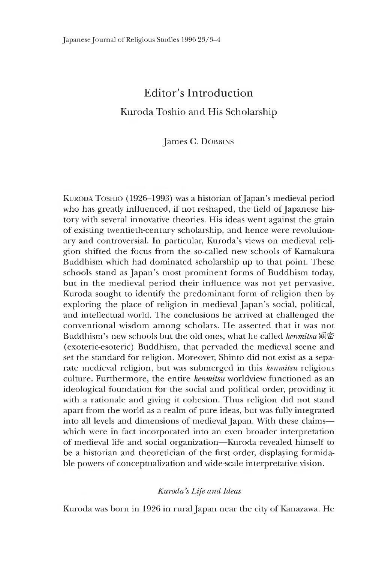# Editor's Introduction Kuroda Toshio and His Scholarship

## James C. DOBBINS

Kuroda Toshio (1926-1993) was a historian of Japan's medieval period who has greatly influenced, if not reshaped, the field of Japanese history with several innovative theories. His ideas went against the grain of existing twentieth-century scholarship, and hence were revolutionary and controversial. In particular, Kuroda's views on medieval religion shifted the focus from the so-called new schools of Kamakura Buddhism which had dominated scholarship up to that point. These schools stand as Japan's most prominent forms of Buddhism today, but in the medieval period their influence was not yet pervasive. Kuroda sought to identify the predominant form of religion then by exploring the place of religion in medieval Japan's social, political, and intellectual world. The conclusions he arrived at challenged the conventional wisdom among scholars. He asserted that it was not Buddhism's new schools but the old ones, what he called *kenmitsu* 顕密 (exoteric-esoteric) Buddhism, that pervaded the medieval scene and set the standard for religion. Moreover, Shmto did not exist as a separate medieval religion, but was submerged in this *kenmitsu* religious culture. Furthermore, the entire *kenmitsu* worldview functioned as an ideological foundation for the social and political order, providing it with a rationale and giving it cohesion. Thus religion did not stand apart from the world as a realm of pure ideas, but was fully integrated into all levels and dimensions of medieval Japan. With these claims which were in fact incorporated into an even broader interpretation of medieval life and social organization—Kuroda revealed himself to be a historian and theoretician of the first order, displaying formidable powers of conceptualization and wide-scale interpretative vision.

#### *Kuroda,s Life and Ideas*

Kuroda was born in 1926 in rural Japan near the city of Kanazawa. He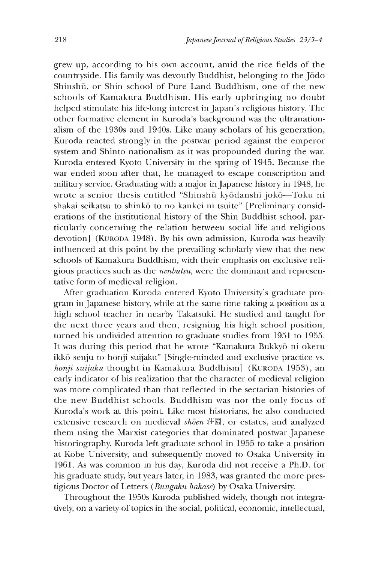grew up, according to his own account, amid the rice fields of the countryside. His family was devoutly Buddhist, belonging to the Jodo Shinshū, or Shin school of Pure Land Buddhism, one of the new schools of Kamakura Buddhism. His early upbringing no doubt helped stimulate his life-long interest in Japan's religious history. The other formative element in Kuroda's background was the ultranationalism of the 1930s and 1940s. Like many scholars of his generation, Kuroda reacted strongly in the postwar period against the emperor system and Shinto nationalism as it was propounded during the war. Kuroda entered Kyoto University in the spring of 1945. Because the war ended soon after that, he managed to escape conscription and military service. Graduating with a major in Japanese history in 1948, he wrote a senior thesis entitled "Shinshū kyōdanshi jokō—Toku ni shakai seikatsu to shinko to no kankei ni tsuite" [Preliminary considerations of the institutional history of the Shin Buddhist school, particularly concerning the relation between social life and religious devotion] (KURODA 1948). By his own admission, Kuroda was heavily influenced at this point by the prevailing scholarly view that the new schools of Kamakura Buddhism, with their emphasis on exclusive religious practices such as the *nenbutsu,* were the dominant and representative form of medieval religion.

After graduation Kuroda entered Kyoto University's graduate program in Japanese history, while at the same time taking a position as a high school teacher in nearby Takatsuki. He studied and taught for the next three years and then, resigning his high school position, turned his undivided attention to graduate studies from 1951 to 1955. It was during this period that he wrote "Kamakura Bukkyō ni okeru ikko senju to honji suijaku" [Single-minded and exclusive practice vs. *honji suijaku* thought in Kamakura Buddhism] (KURODA 1953), an early indicator of his realization that the character of medieval religion was more complicated than that reflected in the sectarian histories of the new Buddhist schools. Buddhism was not the only focus of Kuroda's work at this point. Like most historians, he also conducted extensive research on medieval *shoen* 荘園,or estates, and analyzed them using the Marxist categories that dominated postwar Japanese historiography. Kuroda left graduate school in 1955 to take a position at Kobe University, and subsequently moved to Osaka University in 1961. As was common in his day, Kuroda did not receive a Ph.D. for his graduate study, but years later, in 1983, was granted the more prestigious Doctor of Letters *(Bungaku hakase)* by Osaka University.

Throughout the 1950s Kuroda published widely, though not inteeratively, on a variety of topics in the social, political, economic, intellectual,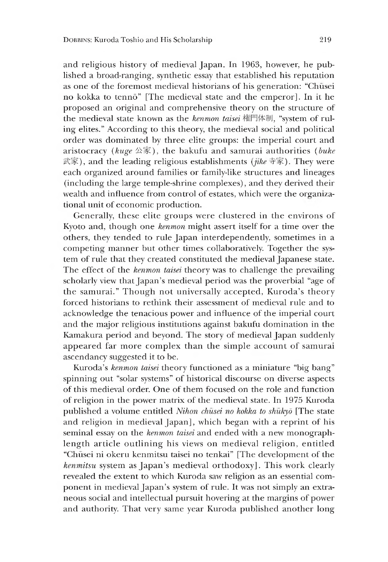and religious history of medieval Japan. In 1963, however, he published a broad-ranging, synthetic essay that established his reputation as one of the foremost medieval historians of his generation: "Chusei no kokka to tenn6" [The medieval state and the emperor]. In it he proposed an original and comprehensive theory on the structure of the medieval state known as the *kenmon taisei* 権門体制, "system of ruling elites." According to this theory, the medieval social and political order was dominated by three elite groups: the imperial court and aristocracy *(kuge 公豕*、, the bakufu and samurai authorities *(buke* 武家), and the leading religious establishments (jike 寺家). They were each organized around families or famiiy-iike structures and lineages (including the large temple-shrine complexes), and they derived their wealth and influence from control of estates, which were the organizational unit of economic production.

Generally, these elite groups were clustered in the environs of Kyoto and, though one *kenmon* might assert itself for a time over the others, they tended to rule Japan interdependently, sometimes in a competing manner but other times collaboratively. Together the system of rule that they created constituted the medieval Japanese state. 1 he effect of the *kenmon taisei* theory was to challenge the prevailing scholarly view that Japan's medieval period was the proverbial "age of the samurai." Though not universally accepted, Kuroda's theory forced historians to retnink their assessment of medieval rule and to acknowledge the tenacious power and influence of the imperial court and the major religious institutions against bakufu domination in the Kamakura period and beyond. The story of medieval Japan suddenly appeared far more complex than the simple account of samurai ascendancy suggested it to be.

Kuroda's *kenmon taisei* theory functioned as a miniature "big bang" spinning out "solar systems" of historical discourse on diverse aspects of this medieval order. One of them focused on the role and function of religion in the power matrix of the medieval state. In 1975 Kuroda published a volume entitled *Nihon chusei no kokka to shukyd* [The state and religion in medieval Japan], which began with a reprint of his seminal essay on the *kenmon taisei* and ended with a new monographlength article outlining his views on medieval religion, entitled "Chūsei ni okeru kenmitsu taisei no tenkai" [The development of the *kenmitsu* system as Japan's medieval orthodoxy]. This work clearly revealed the extent to which Kuroda saw religion as an essential component in medieval Japan's system of rule. It was not simply an extraneous social and intellectual pursuit hovering at the margins of power and authority. That very same year Kuroda published another long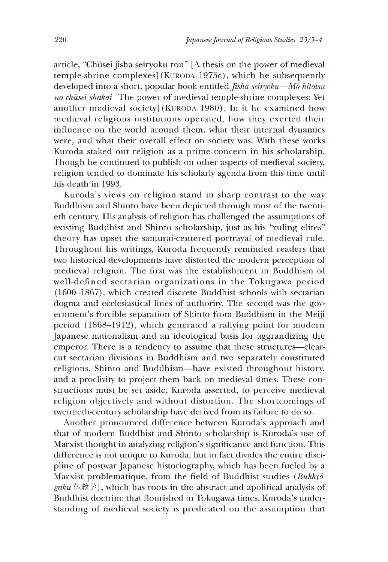article, "Chūsei jisha seiryoku ron" [A thesis on the power of medieval temple-shrine complexes] (KURODA 1975c), which he subsequently developed into a short, popular book entitled *Jisha seiryoku~Mo hitotsu no chusei shakai* [The power of medieval temple-shrine complexes: Yet another medieval society] (KURODA 1980). In it he examined how medieval religious institutions operated, how they exerted their influence on the world around them, what their internal dynamics were, and what their overall effect on society was. With these works Kuroda staked out religion as a prime concern in his scholarship. Though he continued to publish on other aspects of medieval society, religion tended to dominate his scholarly agenda from this time until his death in 1993.

Kuroda's views on religion stand in sharp contrast to the way Buddhism and Shinto have been depicted through most of the twentieth century. His analysis of religion has challenged the assumptions of existing Buddhist and Shinto scholarship, just as his "ruling elites" theory has upset the samurai-centered portrayal of medieval rule. Throughout his writings, Kuroda frequently reminded readers that two historical developments have distorted the modern perception of medieval religion. The first was the establishment in Buddhism of well-defined sectarian organizations in the Tokugawa period (1600-1867), which created discrete Buddhist schools with sectarian dogma and ecclesiastical lines of authority. The second was the government's forcible separation of Shinto from Buddhism in the Meiji period (1868–1912), which generated a rallying point for modern Japanese nationalism and an ideological basis for aggrandizing the emperor. There is a tendency to assume that these structures—clearcut sectarian divisions in Buddhism and two separately constituted religions, Shinto and Buddhism—have existed throughout history, and a proclivity to project them back on medieval times. These constructions must be set aside, Kuroda asserted, to perceive medieval religion objectively and without distortion. The shortcomings of twentieth-century scholarship have derived from its failure to do so.

Another pronounced difference between Kuroda's approach and that of modern Buddhist and Shinto scholarship is Kuroda's use of Marxist thought in analyzing religion's significance and function. Ihis difference is not unique to Kuroda, but in fact divides the entire discipline of postwar Japanese historiography, which has been fueled by a Marxist problematique, from the field of Buddhist studies *(Bukkydgaku* 仏教学),which has roots in the abstract and apolitical analysis of Buddhist doctrine that flourished in Tokugawa times. Kuroda's understanding of medieval society is predicated on the assumption that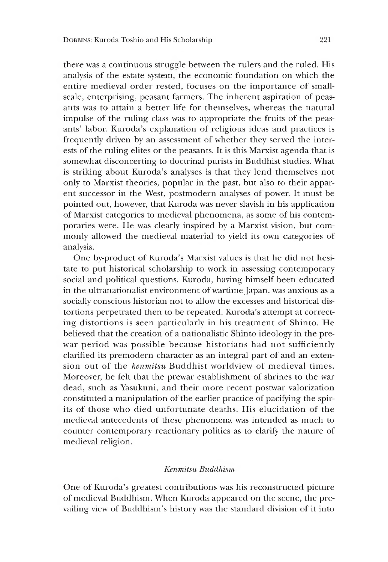there was a continuous struggle between the rulers and the ruled. His analysis of the estate system, the economic foundation on which the entire medieval order rested, focuses on the importance of smallscale, enterprising, peasant farmers. The inherent aspiration of peasants was to attain a better life for themselves, whereas the natural impulse of the ruling class was to appropriate the fruits of the peasants' labor. Kuroda's explanation of religious ideas and practices is frequently driven by an assessment of whether they served the interests of the ruling elites or the peasants. It is this Marxist agenda that is somewhat disconcerting to doctrinal purists in Buddhist studies. What is striking about Kuroda's analyses is that they lend themselves not only to Marxist theories, popular in the past, but also to their apparent successor in the West, postmodern analyses of power. It must be pointed out, however, that Kuroda was never slavish in his application of Marxist categories to medieval phenomena, as some of his contemporaries were. He was clearly inspired by a Marxist vision, but commonly allowed the medieval material to yield its own categories of analysis.

One by-product of Kuroda's Marxist values is that he did not hesitate to put historical scholarship to work in assessing contemporary social and political questions. Kuroda, having himself been educated in the ultranationalist environment of wartime Japan, was anxious as a socially conscious historian not to allow the excesses and historical distortions perpetrated then to be repeated. Kuroda's attempt at correcting distortions is seen particularly in his treatment of Shinto. He believed that the creation of a nationalistic Shinto ideology in the prewar period was possible because historians had not sufficiently clarified its premodern character as an integral part of and an extension out of the *kenmitsu* Buddhist worldview of medieval times. Moreover, he felt that the prewar establishment of shrines to the war dead, such as Yasukuni, and their more recent postwar valorization constituted a manipulation of the earlier practice of pacifying the spirits of those who died unfortunate deaths. His elucidation of the medieval antecedents of these phenomena was intended as much to counter contemporary reactionary politics as to clarify the nature of medieval religion.

### *Kenmitsu Buddhism*

One of Kuroda's greatest contributions was his reconstructed picture of medieval Buddhism. When Kuroda appeared on the scene, the prevailing view of Buddhism's history was the standard division of it into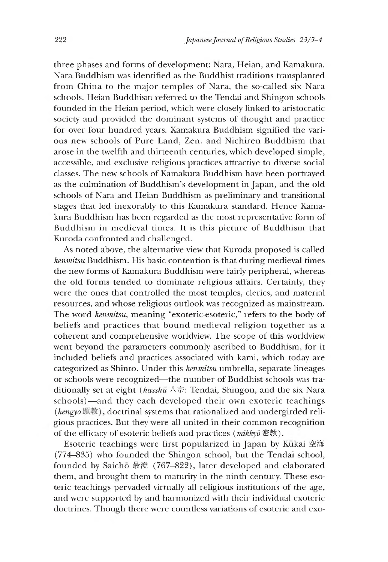three phases and forms of development: Nara, Heian, and Kamakura. Nara Buddhism was identified as the Buddhist traditions transplanted from China to the major temples of Nara, the so-called six Nara schools. Heian Buddhism referred to the Tendai and Shingon schools founded in the Heian period, which were closely linked to aristocratic society and provided the dominant systems of thought and practice for over four hundred years. Kamakura Buddhism signified the various new schools of Pure Land, Zen, and Nichiren Buddhism that arose in the twelfth and thirteenth centuries, which developed simple, accessible, and exclusive religious practices attractive to diverse social classes. The new schools of Kamakura Buddhism have been portrayed as the culmination of Buddhism's development in Japan, and the old schools of Nara and Heian Buddhism as preliminary and transitional stages that led inexorably to this Kamakura standard. Hence Kamakura Buddhism has been regarded as the most representative form of Buddhism in medieval times. It is this picture of Buddhism that Kuroda confronted and challenged.

As noted above, the alternative view that Kuroda proposed is called *kenmitsu* Buddhism. His basic contention is that during medieval times the new forms of Kamakura Buddhism were fairly peripheral, whereas the old forms tended to dominate religious affairs. Certainly, they were the ones that controlled the most temples, clerics, and material resources, and whose religious outlook was recognized as mainstream. The word *kenmitsu,* meaning "exoteric-esoteric," refers to the body of beliefs and practices that bound medieval religion together as a coherent and comprehensive worldview. The scope of this worldview went beyond the parameters commonly ascribed to Buddhism, for it included beliefs and practices associated with kami, which today are categorized as Shinto. Under this *kenmitsu* umbrella, separate lineages or schools were recognized—the number of Buddhist schools was traditionally set at eight *(hasshū 八宗*: Tendai, Shingon, and the six Nara schools)— and they each developed their own exoteric teachings (kengyō 顕教), doctrinal systems that rationalized and undergirded religious practices. But they were all united in their common recognition of the efficacy of esoteric beliefs and practices *(mikkyd 密数、.*

Esoteric teachings were first popularized in Japan by Kukai 空海 (774-835) who founded the Shingon school, but the Tendai school, founded by Saichō 最澄 (767-822), later developed and elaborated them, and brought them to maturity in the ninth century. These esoteric teachings pervaded virtually all religious institutions of the age, and were supported by and harmonized with their individual exoteric doctrines. Though there were countless variations of esoteric and exo-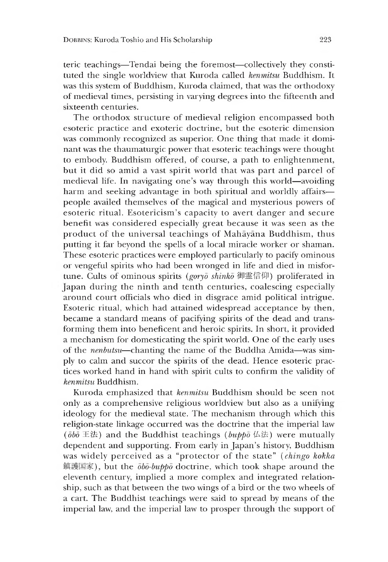teric teachings—Tendai being the foremost~collectively they constituted the single worldview that Kuroda called *kenmitsu* Buddhism. It was this system of Buddhism, Kuroda claimed, that was the orthodoxy of medieval times, persisting in varying degrees into the fifteenth and sixteenth centuries.

The orthodox structure of medieval religion encompassed both esoteric practice and exoteric doctrine, but the esoteric dimension was commonly recognized as superior. One thing that made it dominant was the thaumaturgic power that esoteric teachings were thought to embody. Buddhism offered, of course, a path to enlightenment, but it did so amid a vast spirit world that was part and parcel of medieval life. In navigating one's way through this world—avoiding harm and seeking advantage in both spiritual and worldly affairs people availed themselves of the magical and mysterious powers of esoteric ritual. Esotericism's capacity to avert danger and secure benefit was considered especially great because it was seen as the product of the universal teachings of Mahāyāna Buddhism, thus putting it far beyond the spells of a local miracle worker or shaman. These esoteric practices were employed particularly to pacify ominous or vengeful spirits who had been wronged in life and died m misfortune. Cults of ominous spirits (goryo shinko 御霊信仰) proliferated in japan auring the ninth and tenth centuries, coalescing especially around court officials who died in disgrace amid political intrigue. Esoteric ritual, which had attained widespread acceptance by then, became a standard means of pacirying spirits of the dead and transforming them into beneficent and heroic spirits. In short, it provided a mechanism for domesticating the spirit world. One of the early uses of the *nenbutsu*—chanting the name of the Buddha Amida—was simply to calm and succor the spirits of the dead. Hence esoteric practices worked hand in hand with spirit cults to confirm the validity of *kenmitsu* Buddhism.

Kuroda emphasized that *kenmitsu* Buddhism should be seen not only as a comprehensive religious worldview but also as a unifying ideology for the medieval state. Ihe mechanism through which this religion-state linkage occurred was the doctrine that the imperial law ( $\bar{\phi}b\bar{\phi}$  王法) and the Buddhist teachings ( $bupp\bar{\phi}$  仏法) were mutually dependent and supporting. From early in Japan's history, Buddhism was widely perceived as a "protector of the state" (*chingo kokka* 鎮護国家), but the  $\bar{obo}$ -buppo<sup>d</sup> doctrine, which took shape around the eleventh century, implied a more complex and integrated relationship, such as that between the two wings of a Dird or the two wheels of a cart. The Buddhist teachings were said to spread by means of the imperial law, and the imperial law to prosper through the support of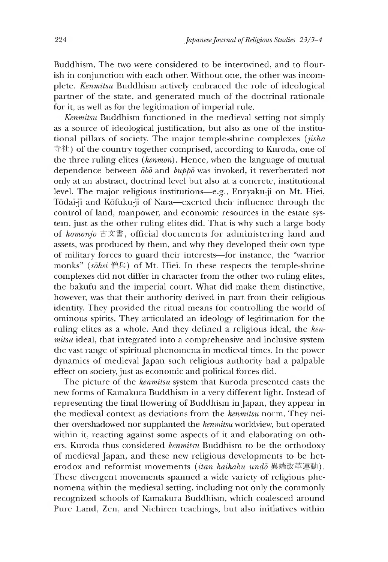Buddhism. The two were considered to be intertwined, and to flourish in conjunction with each other. Without one, the other was incomplete. *Kenmitsu* Buddhism actively embraced the role of ideological partner of the state, and generated much of the doctrinal rationale for it, as well as for the legitimation of imperial rule.

*Kenmitsu* Buddhism functioned in the medieval setting not simply as a source of ideological justification, but also as one of the institutional pillars of society. The major temple-shrine complexes *{jisha* 寺社) of the country together comprised, according to Kuroda, one of the three ruling elites *(kenmon)*. Hence, when the language of mutual dependence between *dbd* and *buppo* was invoked, it reverberated not only at an abstract, doctrinal level but also at a concrete, institutional level. The major religious institutions—e.g., Enryaku-ji on Mt. Hiei, Todai-ji and Kofuku-ji of Nara—exerted their influence through the control of land, manpower, and economic resources in the estate system, just as the other ruling elites did. That is why such a large body of *komonjo* 古文書,official documents for administering land and assets, was produced by them, and why they developed their own type of military forces to guard their interests—for instance, the "warrior monks" *(sohei* 僧兵)of Mt. Hiei. In these respects the temple-shrine complexes did not differ in character from the other two ruling elites, the bakufu and the imperial court. What did make them distinctive, however, was that their authority derived in part from their religious identity. They provided the ritual means for controlling the world of ominous spirits. They articulated an ideoloev of legitimation for the ruling elites as a whole. And they defined a religious ideal, the *kenmitsu* ideal, that integrated into a comprehensive and inclusive system the vast range of spiritual phenomena in medieval times. In the power dynamics of medieval Japan such religious authority had a palpable effect on society, just as economic and political forces did.

The picture of the *kenmitsu* system that Kuroda presented casts the new forms of Kamakura Buddhism in a very different light. Instead of representing the final flowering or Buddhism in Japan, they appear in the medieval context as deviations from the *kenmitsu* norm. They neither overshadowed nor supplanted the *kenmitsu* worldview, but operated within it, reacting against some aspects of it and elaborating on others. Kuroda thus considered *kenmitsu* Buddhism to be the orthodoxy of medieval Japan, and these new religious developments to be heterodox and reformist movements *{itan kaikaku undo* 異端改革運動). These divergent movements spanned a wide variety of religious phenomena within the medieval setting, including not only the commonly recognized schools of Kamakura Buddhism, which coalesced around Pure Land, Zen, and Nichiren teachings, but also initiatives within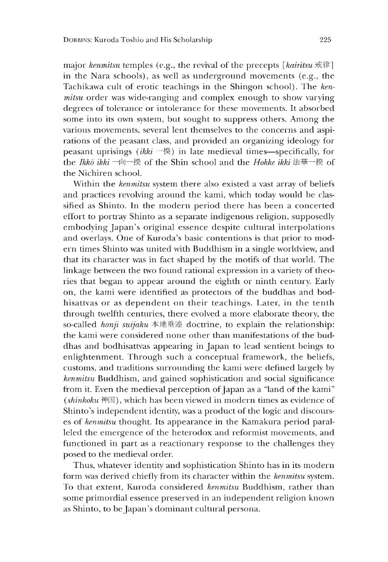major *kenmitsu* temples (e.g., the revival of the precepts *[kairitsu* 戒律] in the Nara schools), as well as underground movements (e.g., the Tachikawa cult of erotic teachings in the Shingon school). The *kenmitsu* order was wide-ranging and complex enough to show varying degrees of tolerance or intolerance for these movements. It absorbed some into its own system, but sought to suppress others. Among the various movements, several lent themselves to the concerns and aspirations of the peasant class, and provided an organizing ideology for peasant uprisings  $(ikki - \frac{1}{2})$  in late medieval times—specifically, for the *Ikko ikki* 一向一揆 of the Shin school and the *Hokke ikki* 法華一揆 of the Nichiren school.

Within the *kenmitsu* system there also existed a vast array of beliefs and practices revolving around the kami, which today would be classitied as Shinto. In the modern period there has been a concerted effort to portray Shinto as a separate indigenous religion, supposedly embodying Japan's original essence despite cultural interpolations and overlays. One of Kuroda's basic contentions is that prior to modern times Shinto was united with Buddhism in a single worldview, and that its character was in fact shaped by the motifs of that world. The linkage between the two found rational expression in a variety of theories that began to appear around the eighth or ninth century. Early on, the kami were identified as protectors of the buddhas and bodhisattvas or as dependent on their teachings. Later, in the tenth through twelfth centuries, there evolved a more elaborate theory, the so-called *honji suijaku* 本地垂迹 doctrine, to explain the relationship: the kami were considered none other than manifestations of the buddhas and bodhisattvas appearing in Japan to lead sentient beings to enlightenment. Through such a conceptual framework, the beliefs, customs, and traditions surrounding the kami were defined largely by *kenmitsu* Buddhism, and gained sophistication and social significance from it. Even the medieval perception of Japan as a "land of the kami" (*shinkoku* 神国), which has been viewed in modern times as evidence of Shinto's independent identity, was a product of the logic and discourses of *kenmitsu* thought. Its appearance in the Kamakura period paralleled the emergence of the heterodox and reformist movements, and functioned in part as a reactionary response to the challenges they posed to the medieval order.

Thus, whatever identity and sophistication Shinto has in its modern form was derived chiefly from its character within the *kenmitsu* system. To that extent, Kuroda considered *kenmitsu* Buddhism, rather than some primordial essence preserved in an independent religion known as Shinto, to be Japan's dominant cultural persona.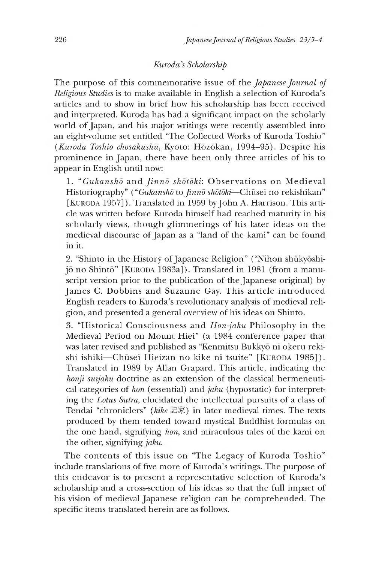### *Kuroda,s Scholarship*

The purpose of this commemorative issue of the *Japanese Journal of Religious Studies* is to make available in English a selection of Kuroda's articles and to show in brief how his scholarship has been received and interpreted. Kuroda has had a significant impact on the scholarly world of Japan, and his major writings were recently assembled into an eight-volume set entitled "The Collected Works of Kuroda Toshio" *(Kuroda Toshio chosakushu,* Kyoto: Hozokan, 1994-95). Despite his prominence in Japan, there have been only three articles of his to appear in English until now:

1*. wGukansho* and *Jinno shotoki:* Observations on Medieval Historiography" *(" Gukanshō* to *Jinnō shōtōki*—Chūsei no rekishikan" [KURODA 1957]). Translated in 1959 by John A. Harrison. This article was written before Kuroda himself had reached maturity in his scholarly views, though glimmerings of his later ideas on the medieval discourse of Japan as a "land of the kami" can be found in it.

2. "Shinto in the History of Japanese Religion" ("Nihon shūkyōshijō no Shintō" [KURODA 1983a]). Translated in 1981 (from a manuscript version prior to the publication of the Japanese original) by James C. Dobbins and Suzanne Gay. This article introduced English readers to Kuroda's revolutionary analysis of medieval religion, and presented a general overview of his ideas on Shinto.

3. "Historical Consciousness and *Hon-jaku* Philosophy in the Medieval Period on Mount Hiei" (a 1984 conference paper that was later revised and published as "Kenmitsu Bukkyo ni okeru rekishi ishiki—Chusei Hieizan no kike ni tsuite" [KURODA 1985]). Translated in 1989 by Allan Grapard. This article, indicating the *honji suijaku* doctrine as an extension of the classical hermeneutical categories of *hon* (essential) and *jaku* (hypostatic) for interpreting the *Lotus Sutra,* elucidated the intellectual pursuits of a class of Tendai "chroniclers" *(kike* 記家) in later medieval times. The texts produced by them tended toward mystical Buddhist formulas on the one hand, signifying *hon,* and miraculous tales of the kami on the other, signifying *jaku*.

The contents of this issue on "The Legacy of Kuroda Toshio" include translations of five more of Kuroda's writings. The purpose of this endeavor is to present a representative selection of Kuroda's scholarship and a cross-section of his ideas so that the full impact of his vision of medieval Japanese religion can be comprehended. The specific items translated herein are as follows.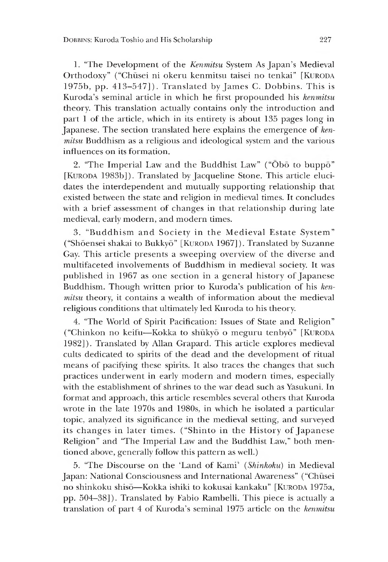1. "The Development of the *Kenmitsu* System As Japan's Medieval Orthodoxy" ("Chūsei ni okeru kenmitsu taisei no tenkai" [KURODA 1975b, pp.  $413-547$ ]). Translated by James C. Dobbins. This is Kuroda's seminal article in which he first propounded his *kenmitsu* theory. This translation actually contains only the introduction and part 1 of the article, which in its entirety is about 135 pages long in Japanese. The section translated here explains the emergence of *kenmitsu* Buddhism as a religious and ideological system and the various influences on its formation.

2. "The Imperial Law and the Buddhist Law" (" $\ddot{\text{Ob}}\bar{\text{o}}$  to buppo" [KURODA 1983b]). Translated by Jacqueline Stone. This article elucidates the interdependent and mutually supporting relationship that existed between the state and religion in medieval times. It concludes with a brief assessment of changes in that relationship during late medieval, early modern, and modern times.

3. "Buddhism and Society in the Medieval Estate System" ("Shōensei shakai to Bukkyō" [KURODA 1967]). Translated by Suzanne Gay. This article presents a sweeping overview of the diverse and multifaceted involvements of Buddhism in medieval society. It was published in 1967 as one section in a general history of Japanese Buddhism. Though written prior to Kuroda's publication of his *kenmitsu* theory, it contains a wealth of information about the medieval religious conditions that ultimately led Kuroda to his theory.

4. "The World of Spirit Pacification: Issues of State and Religion" ("Chinkon no keifu-Kokka to shūkyō o meguru tenbyō" [KURODA 1982]). Translated by Allan Grapard. This article explores medieval cults dedicated to spirits of the dead and the development of ritual means of pacifying these spirits. It also traces the changes that such practices underwent in early modern and modern times, especially with the establishment of shrines to the war dead such as Yasukuni. In format and approach, this article resembles several others that Kuroda wrote in the late 1970s and 1980s, in which he isolated a particular topic, analyzed its significance in the medieval setting, and surveyed its changes in later times. ("Shinto in the History of Japanese Religion" and "The Imperial Law and the Buddhist Law," both mentioned above, generally follow this pattern as well.)

5. "The Discourse on the 'Land of Kami' (*Shinkoku*) in Medieval Japan: National Consciousness and International Awareness" ("Chusei no shinkoku shiso— Kokka ishiki to kokusai kankaku" [KURODA 1975a, pp. 504-38]). Translated by Fabio Rambelli. This piece is actually a translation of part 4 of Kuroda's seminal 1975 article on the *kenmitsu*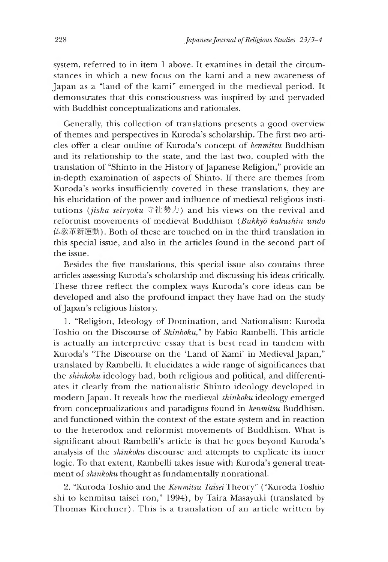system, referred to in item 1 above. It examines in detail the circumstances in which a new focus on the kami and a new awareness of Japan as a "land of the kami" emerged in the medieval period. It demonstrates that this consciousness was inspired by and pervaded with Buddhist conceptualizations and rationales.

Generally, this collection of translations presents a good overview of themes and perspectives in Kuroda's scholarship. The first two articles offer a clear outline of Kuroda's concept of *kenmitsu* Buddhism and its relationship to the state, and the last two, coupled with the translation of "Shinto in the History of Japanese Religion," provide an in-depth examination of aspects of Shinto. If there are themes from Kuroda's works insufficiently covered in these translations, they are his elucidation of the power and influence of medieval religious institutions *(jisha seiryoku* 寺社勢力) and his views on the revival and reformist movements of medieval Buddhism *{Bukkyo kakushin undo* 仏教革新運動). Both of these are touched on in the third translation in this special issue, and also in the articles found in the second part of the issue.

Besides the five translations, this special issue also contains three articles assessing Kuroda's scholarship and discussing his ideas critically. These three reflect the complex ways Kuroda's core ideas can be developed and also the profound impact they have had on the study of Japan's religious history.

1. "Religion, Ideology of Domination, and Nationalism: Kuroda Toshio on the Discourse of *Shinkoku,"* by Fabio Rambelli. This article is actually an interpretive essay that is best read in tandem with Kuroda's "The Discourse on the 'Land of Kami' in Medieval Japan," translated by Rambelli. It elucidates a wide ranee of significances that the *shinkoku* ideology had, both religious and political, and differentiates it clearly from the nationalistic Shinto ideology developed in modern Japan. It reveals how the medieval *shinkoku* ideology emerged from conceptualizations and paradigms found in *kenmitsu* Buddhism, and functioned within the context of the estate system and in reaction to the heterodox and reformist movements of Buddhism. What is significant about Rambelli's article is that he goes beyond Kuroda's analysis of the *shinkoku* discourse and attempts to explicate its inner logic. To that extent, Rambelli takes issue with Kuroda's general treatment of *shinkoku* thought as fundamentally nonrational.

2. "Kuroda Toshio and the *Kenmitsu Taisei* Theory" ("Kuroda Toshio shi to kenmitsu taisei ron," 1994), by Taira Masayuki (translated by Thomas Kirchner). This is a translation of an article written by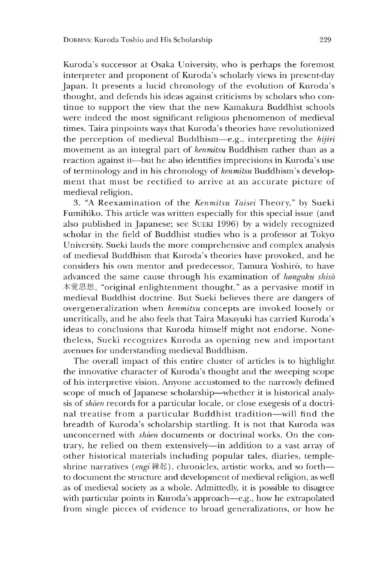Kuroda's successor at Osaka University, who is perhaps the foremost interpreter and proponent of Kuroda's scholarly views in present-day Japan. It presents a lucid chronology of the evolution of Kuroda's thought, and defends his ideas against criticisms by scholars who continue to support the view that the new Kamakura Buddhist schools were indeed the most significant religious phenomenon of medieval times. Taira pinpoints ways that Kuroda's theories have revolutionized the perception of medieval Buddhism—e.g., interpreting the *hijin* movement as an integral part of *kenmitsu* Buddhism rather than as a reaction against it~but he also identifies imprecisions in Kuroda's use of terminology and in his chronology of *kenmitsu* Buddhism's development that must be rectified to arrive at an accurate picture of medieval religion.

3. "A Reexamination of the *Kenmitsu Taisei* Theory," by Sueki Fumihiko. This article was written especially for this special issue (and also published in Japanese; see Sueki 1996) by a widely recognized scholar in the field of Buddhist studies who is a professor at Tokyo University. Sueki lauds the more comprehensive and complex analysis of medieval Buddhism that Kuroda's theories have provoked, and he considers his own mentor and predecessor, Tamura Yoshiro, to have advanced the same cause through his examination of *hongaku shiso* 本覚思想, "original enlightenment thought," as a pervasive motif in medieval Buddhist doctrine. But Sueki believes there are dangers of overgeneralization when *kenmitsu* concepts are invoked loosely or uncritically, and he also feels that Taira Masayuki has carried Kuroda's ideas to conclusions that Kuroda himself might not endorse. Nonetheless, Sueki recognizes Kuroda as opening new and important avenues for understanding medieval Buddhism.

The overall impact of this entire cluster of articles is to highlight the innovative character of Kuroda's thought and the sweeping scope of his interpretive vision. Anyone accustomed to the narrowly defined scope of much of Japanese scholarship—whether it is historical analysis of *shoen* records for a particular locale, or close exegesis of a doctrinal treatise from a particular Buddhist tradition-will find the breadth of Kuroda's scholarship startling. It is not that Kuroda was unconcerned with *shoen* documents or doctrinal works. On the contrary, he relied on them extensively-in addition to a vast array of other historical materials including popular tales, diaries, templeshrine narratives (engi 縁起), chronicles, artistic works, and so forth to document the structure and development of medieval religion, as well as of medieval society as a whole. Admittedly, it is possible to disagree with particular points in Kuroda's approach—e.g., how he extrapolated from single pieces of evidence to broad generalizations, or how he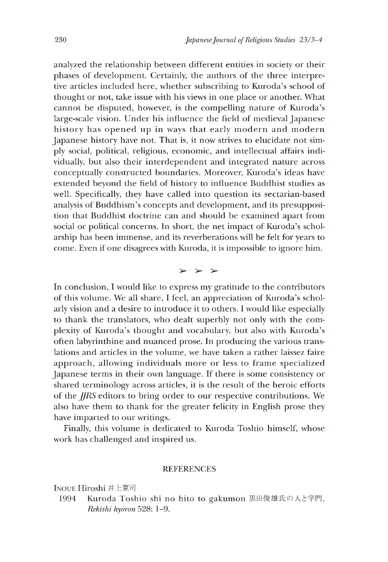analyzed the relationship between different entities in society or their phases of development. Certainly, the authors of the three interpretive articles included here, whether subscribing to Kuroda's school of thought or not, take issue with his views in one place or another. What cannot be disputed, however, is the compelling nature of Kuroda's large-scale vision. Under his influence the field of medieval Japanese history has opened up in ways that early modern and modern Japanese history have not. That is, it now strives to elucidate not simply social, political, religious, economic, and intellectual affairs individually, but also their interdependent and integrated nature across conceptually constructed boundaries. Moreover, Kuroda's ideas have extended beyond the field of history to influence Buddhist studies as well. Specifically, they have called into question its sectarian-based analysis of Buddhism's concepts and development, and its presupposition that Buddhist doctrine can and should be examined apart from social or political concerns. In short, the net impact of Kuroda's scholarship has been immense, and its reverberations will be felt for years to come. Even if one disagrees with Kuroda, it is impossible to ignore him.

 $> > >$ 

In conclusion, I would like to express my gratitude to the contributors of this volume. We all share, I feel, an appreciation of Kuroda's scholarly vision and a desire to introduce it to others. I would like especially to thank the translators, who dealt superbly not only with the complexity of Kuroda's thought and vocabulary, but also with Kuroda's often labyrinthine and nuanced prose. In producing the various translations and articles in the volume, we have taken a rather laissez faire approach, allowing individuals more or less to frame specialized Japanese terms in their own language. If there is some consistency or shared terminology across articles, it is the result of the heroic efforts of the *JJRS* editors to bring order to our respective contributions. We also have them to thank for the greater felicity in English prose they have imparted to our writings.

Finally, this volume is dedicated to Kuroda Toshio himself, whose work has challenged and inspired us.

#### **REFERENCES**

INOUE Hiroshi 井上寛司

1994 Kuroda Toshio shi no hito to gakumon 黒田俊雄氏の人と学門. *Rekishi hydron* 528: 1-9.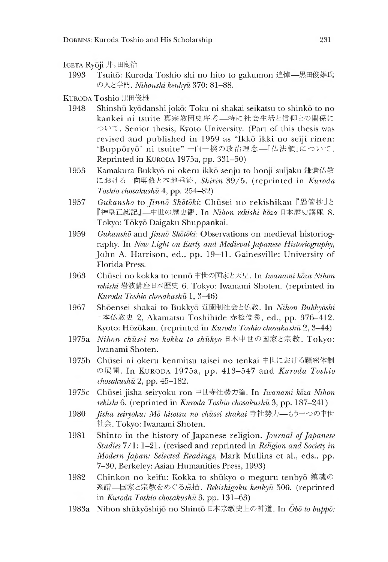IGETA Ryoji 井ヶ田良治

1993 Tsuitō: Kuroda Toshio shi no hito to gakumon 追悼— 黒田俊雄氏 の人と学門*. Nihonshi kenkyu* 370: 81-88.

KURODA Toshio 黒田俊雄

- 1948 Shinshū kyodanshi joko: Toku ni shakai seikatsu to shinko to no kankei ni tsuite 真宗教団史序考–特に社会生活と信仰との関係に ついて. Senior thesis, Kyoto University. (Part of this thesis was revised and published in 1959 as "Ikko ikki no seiji rinen: 'Bupporyo' ni tsuite" 一向一揆の政治理念––「仏法領」について. Reprinted in KURODA 1975a, pp. 331-50)
- 1953 Kamakura Bukkyō ni okeru ikkō senju to honji suijaku 鎌倉仏教 における一向専修と本地達迹*. Shirin* 39/5. (reprinted in *Kuroda Toshio chosakushu 4,* pp. 254-82)
- 1957 Gukanshō to *Jinnō Shōtōki*: Chūsei no rekishikan 『愚管抄』と 『神皇正統記』一中世の歴史観. In *Nihon rekishi koza*日本歴史講座8. Tokyo: Tokyo Daigaku Shuppankai.
- 1959 *Gukanshd* and *Jinno Shotoki:* Observations on medieval nistoriography. In *New Light on Early and Medieval Japanese Historiography,* John A. Harrison, ed., pp. 19-41. Gainesville: University of Florida Press.
- 1963 Chusei no kokka to tenno 中世の国家と天皇. In *Iwanami koza Nihon* rekishi 岩波講座日本歴史 6. Tokyo: Iwanami Shoten. (reprinted in *Kuroda Toshio chosakushu* 1, 3–46)
- 1967 Shoensei shakai to Bukkyo 莊園制社会と仏教. In *Nihon Bukkydshi* 日本仏教史 2, Akamatsu Toshihide 赤松俊秀, ed., pp. 376-412. Kyoto: Hōzōkan. (reprinted in *Kuroda Toshio chosakushū* 2, 3–44)
- 1975a *Nihon chusei no kokka to shukyo* 日本中世の国家と宗教. Tokyo: Iwanami Shoten.
- 1975b Chusei ni okeru kenmitsu taisei no tenkai 中世における顕密体制 の展開. In Kuroda 1975a, pp. 413-547 and *Kuroda Toshio chosakushū* 2, pp. 45-182.
- 1975c Chusei jisha seiryoku ron 中世寺社勢力論. In *Iwanami koza Nihon rekishi* 6. (reprinted in *Kuroda Toshio chosakushu* 3, pp. 187-241)
- 1980 *Jisha seiryoku: Mo hitotsu no chusei shakai* 寺社勢力\_ もう一つの中世 社会. Tokyo: Iwanami Shoten.
- 1981 shinto m the history of Japanese religion. *Journal of Japanese Studies* 7/1: 1-21. (revised and reprinted in *Religion and Society in Modern Japan: Selected Readings, Mark Mullins et al., eds., pp.* 7-30 Berkeley: Asian Humanities Press, 1993)
- 1982 Chinkon no keifu: Kokka to shūkyo o meguru tenbyō 鎮魂の 系譜~ 国家と宗教をめぐる点描*. Rekishigaku kenkyu* 500. (reprinted in *Kuroda Toshio chosakushū* 3, pp. 131-63)
- 1983a Nihon shukyoshijo no Shinto 日本宗教史上の神道. In *Obd to buppo:*